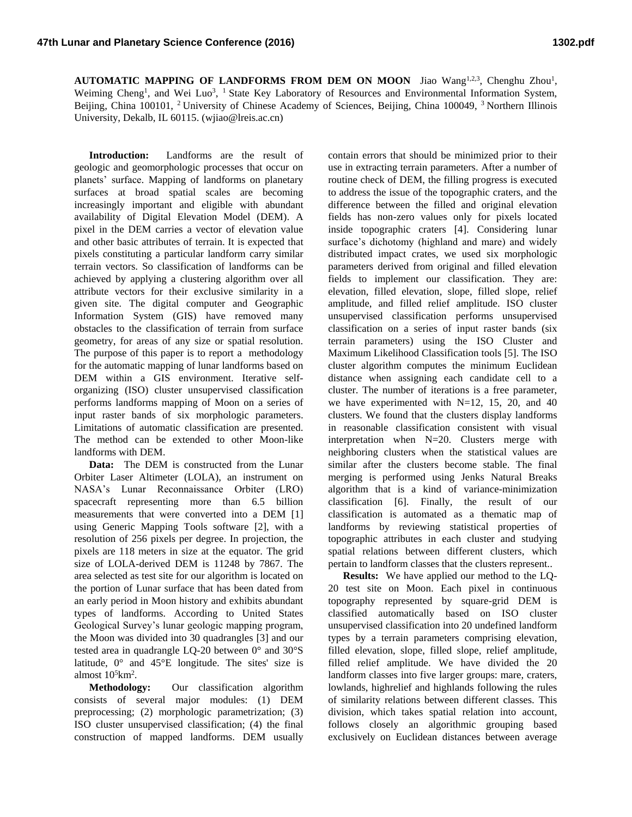AUTOMATIC MAPPING OF LANDFORMS FROM DEM ON MOON Jiao Wang<sup>1,2,3</sup>, Chenghu Zhou<sup>1</sup>, Weiming Cheng<sup>1</sup>, and Wei Luo<sup>3</sup>, <sup>1</sup> State Key Laboratory of Resources and Environmental Information System, Beijing, China 100101, <sup>2</sup> University of Chinese Academy of Sciences, Beijing, China 100049, <sup>3</sup> Northern Illinois University, Dekalb, IL 60115. (wjiao@lreis.ac.cn)

**Introduction:** Landforms are the result of geologic and geomorphologic processes that occur on planets' surface. Mapping of landforms on planetary surfaces at broad spatial scales are becoming increasingly important and eligible with abundant availability of Digital Elevation Model (DEM). A pixel in the DEM carries a vector of elevation value and other basic attributes of terrain. It is expected that pixels constituting a particular landform carry similar terrain vectors. So classification of landforms can be achieved by applying a clustering algorithm over all attribute vectors for their exclusive similarity in a given site. The digital computer and Geographic Information System (GIS) have removed many obstacles to the classification of terrain from surface geometry, for areas of any size or spatial resolution. The purpose of this paper is to report a methodology for the automatic mapping of lunar landforms based on DEM within a GIS environment. Iterative selforganizing (ISO) cluster unsupervised classification performs landforms mapping of Moon on a series of input raster bands of six morphologic parameters. Limitations of automatic classification are presented. The method can be extended to other Moon-like landforms with DEM.

**Data:** The DEM is constructed from the Lunar Orbiter Laser Altimeter (LOLA), an instrument on NASA's Lunar Reconnaissance Orbiter (LRO) spacecraft representing more than 6.5 billion measurements that were converted into a DEM [1] using Generic Mapping Tools software [2], with a resolution of 256 pixels per degree. In projection, the pixels are 118 meters in size at the equator. The grid size of LOLA-derived DEM is 11248 by 7867. The area selected as test site for our algorithm is located on the portion of Lunar surface that has been dated from an early period in Moon history and exhibits abundant types of landforms. According to United States Geological Survey's lunar geologic mapping program, the Moon was divided into 30 quadrangles [3] and our tested area in quadrangle LQ-20 between 0° and 30°S latitude,  $0^{\circ}$  and  $45^{\circ}$  E longitude. The sites' size is almost  $10^5$ km<sup>2</sup>.

**Methodology:** Our classification algorithm consists of several major modules: (1) DEM preprocessing; (2) morphologic parametrization; (3) ISO cluster unsupervised classification; (4) the final construction of mapped landforms. DEM usually

contain errors that should be minimized prior to their use in extracting terrain parameters. After a number of routine check of DEM, the filling progress is executed to address the issue of the topographic craters, and the difference between the filled and original elevation fields has non-zero values only for pixels located inside topographic craters [4]. Considering lunar surface's dichotomy (highland and mare) and widely distributed impact crates, we used six morphologic parameters derived from original and filled elevation fields to implement our classification. They are: elevation, filled elevation, slope, filled slope, relief amplitude, and filled relief amplitude. ISO cluster unsupervised classification performs unsupervised classification on a series of input raster bands (six terrain parameters) using the ISO Cluster and Maximum Likelihood Classification tools [5]. The ISO cluster algorithm computes the minimum Euclidean distance when assigning each candidate cell to a cluster. The number of iterations is a free parameter, we have experimented with  $N=12$ , 15, 20, and 40 clusters. We found that the clusters display landforms in reasonable classification consistent with visual interpretation when N=20. Clusters merge with neighboring clusters when the statistical values are similar after the clusters become stable. The final merging is performed using Jenks Natural Breaks algorithm that is a kind of variance-minimization classification [6]. Finally, the result of our classification is automated as a thematic map of landforms by reviewing statistical properties of topographic attributes in each cluster and studying spatial relations between different clusters, which pertain to landform classes that the clusters represent..

**Results:** We have applied our method to the LQ-20 test site on Moon. Each pixel in continuous topography represented by square-grid DEM is classified automatically based on ISO cluster unsupervised classification into 20 undefined landform types by a terrain parameters comprising elevation, filled elevation, slope, filled slope, relief amplitude, filled relief amplitude. We have divided the 20 landform classes into five larger groups: mare, craters, lowlands, highrelief and highlands following the rules of similarity relations between different classes. This division, which takes spatial relation into account, follows closely an algorithmic grouping based exclusively on Euclidean distances between average